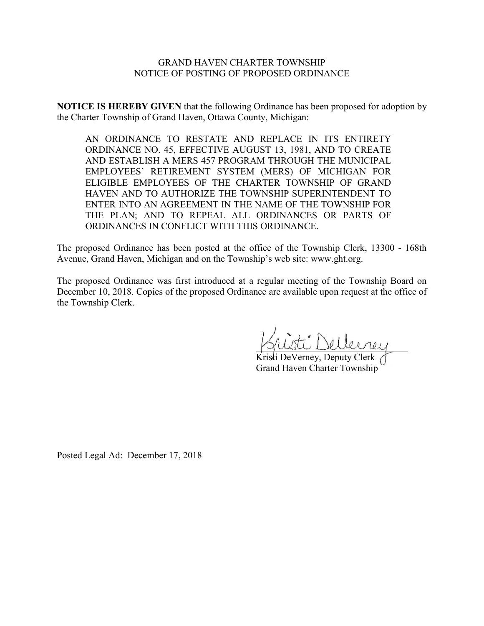### GRAND HAVEN CHARTER TOWNSHIP NOTICE OF POSTING OF PROPOSED ORDINANCE

**NOTICE IS HEREBY GIVEN** that the following Ordinance has been proposed for adoption by the Charter Township of Grand Haven, Ottawa County, Michigan:

AN ORDINANCE TO RESTATE AND REPLACE IN ITS ENTIRETY ORDINANCE NO. 45, EFFECTIVE AUGUST 13, 1981, AND TO CREATE AND ESTABLISH A MERS 457 PROGRAM THROUGH THE MUNICIPAL EMPLOYEES' RETIREMENT SYSTEM (MERS) OF MICHIGAN FOR ELIGIBLE EMPLOYEES OF THE CHARTER TOWNSHIP OF GRAND HAVEN AND TO AUTHORIZE THE TOWNSHIP SUPERINTENDENT TO ENTER INTO AN AGREEMENT IN THE NAME OF THE TOWNSHIP FOR THE PLAN; AND TO REPEAL ALL ORDINANCES OR PARTS OF ORDINANCES IN CONFLICT WITH THIS ORDINANCE.

The proposed Ordinance has been posted at the office of the Township Clerk, 13300 - 168th Avenue, Grand Haven, Michigan and on the Township's web site: www.ght.org.

The proposed Ordinance was first introduced at a regular meeting of the Township Board on December 10, 2018. Copies of the proposed Ordinance are available upon request at the office of the Township Clerk.

 $\therefore$  Dellernee

Kristi DeVerney, Deputy Clerk Grand Haven Charter Township

Posted Legal Ad: December 17, 2018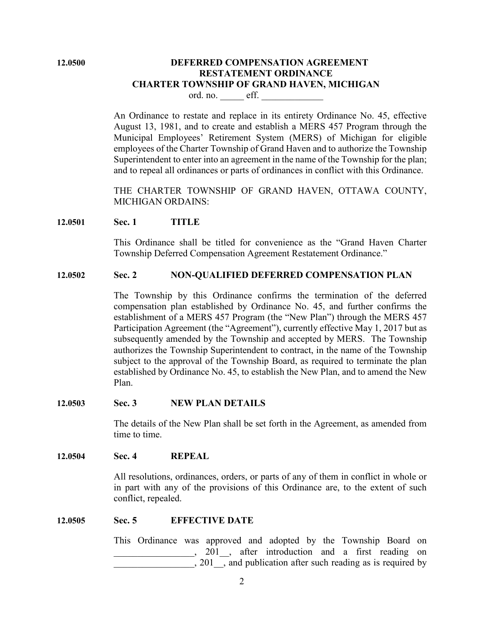# **12.0500 DEFERRED COMPENSATION AGREEMENT RESTATEMENT ORDINANCE CHARTER TOWNSHIP OF GRAND HAVEN, MICHIGAN**

ord. no. \_\_\_\_\_\_ eff. \_

An Ordinance to restate and replace in its entirety Ordinance No. 45, effective August 13, 1981, and to create and establish a MERS 457 Program through the Municipal Employees' Retirement System (MERS) of Michigan for eligible employees of the Charter Township of Grand Haven and to authorize the Township Superintendent to enter into an agreement in the name of the Township for the plan; and to repeal all ordinances or parts of ordinances in conflict with this Ordinance.

THE CHARTER TOWNSHIP OF GRAND HAVEN, OTTAWA COUNTY, MICHIGAN ORDAINS:

#### **12.0501 Sec. 1 TITLE**

This Ordinance shall be titled for convenience as the "Grand Haven Charter Township Deferred Compensation Agreement Restatement Ordinance."

### **12.0502 Sec. 2 NON-QUALIFIED DEFERRED COMPENSATION PLAN**

The Township by this Ordinance confirms the termination of the deferred compensation plan established by Ordinance No. 45, and further confirms the establishment of a MERS 457 Program (the "New Plan") through the MERS 457 Participation Agreement (the "Agreement"), currently effective May 1, 2017 but as subsequently amended by the Township and accepted by MERS. The Township authorizes the Township Superintendent to contract, in the name of the Township subject to the approval of the Township Board, as required to terminate the plan established by Ordinance No. 45, to establish the New Plan, and to amend the New Plan.

#### **12.0503 Sec. 3 NEW PLAN DETAILS**

The details of the New Plan shall be set forth in the Agreement, as amended from time to time.

**12.0504 Sec. 4 REPEAL**

All resolutions, ordinances, orders, or parts of any of them in conflict in whole or in part with any of the provisions of this Ordinance are, to the extent of such conflict, repealed.

#### **12.0505 Sec. 5 EFFECTIVE DATE**

This Ordinance was approved and adopted by the Township Board on \_\_\_\_\_\_\_\_\_\_\_\_\_\_\_\_\_, 201\_\_, after introduction and a first reading on , 201 , and publication after such reading as is required by